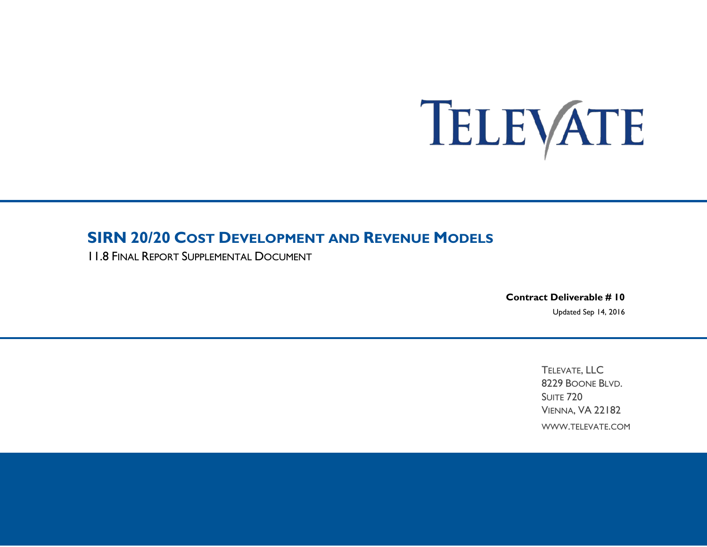# TELEVATE

# **SIRN 20/20 COST DEVELOPMENT AND REVENUE MODELS**

11.8 FINAL REPORT SUPPLEMENTAL DOCUMENT

**Contract Deliverable # 10**  Updated Sep 14, 2016

> TELEVATE, LLC 8229 BOONE BLVD. SUITE 720 VIENNA, VA 22182 WWW.TELEVATE.COM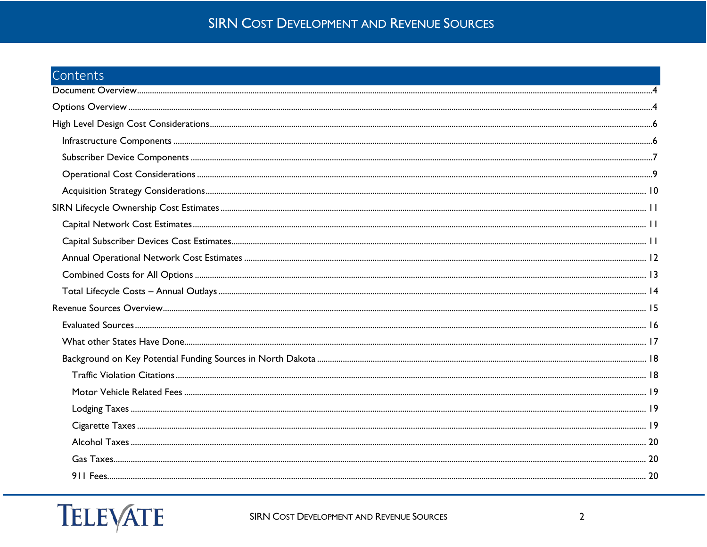# Contents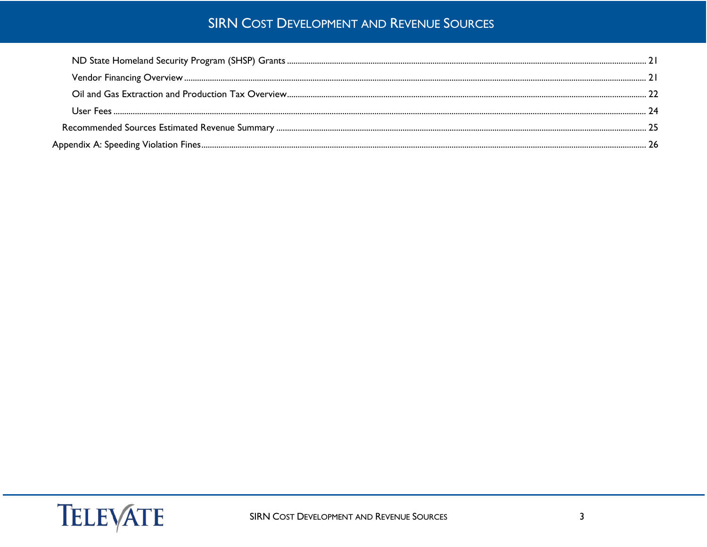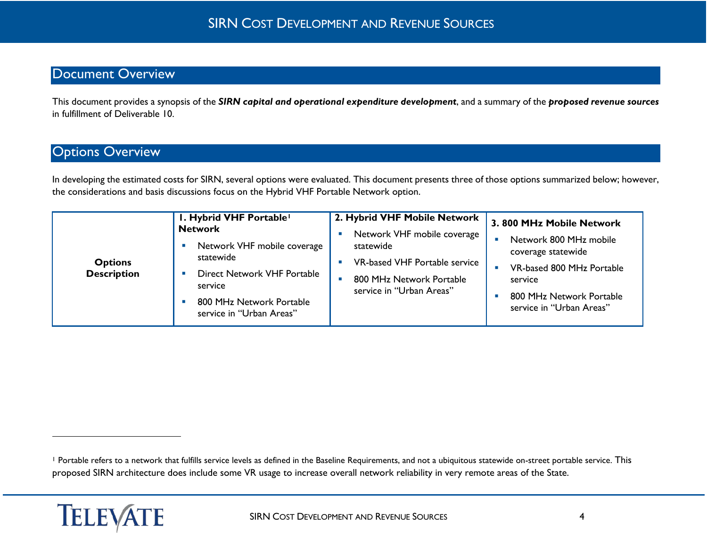# <span id="page-3-2"></span><span id="page-3-0"></span>Document Overview

This document provides a synopsis of the *SIRN capital and operational expenditure development*, and a summary of the *proposed revenue sources* in fulfillment of Deliverable 10.

# <span id="page-3-1"></span>**Options Overview**

In developing the estimated costs for SIRN, several options were evaluated. This document presents three of those options summarized below; however, the considerations and basis discussions focus on the Hybrid VHF Portable Network option.

| I. Hybrid VHF Portable <sup>1</sup><br><b>Network</b><br>Network VHF mobile coverage<br>statewide<br><b>Options</b><br><b>Description</b><br>Direct Network VHF Portable<br>service<br>800 MHz Network Portable<br>service in "Urban Areas" | 2. Hybrid VHF Mobile Network<br>Network VHF mobile coverage<br>statewide<br>VR-based VHF Portable service<br>800 MHz Network Portable<br>service in "Urban Areas" | 3.800 MHz Mobile Network<br>Network 800 MHz mobile<br>$\blacksquare$<br>coverage statewide<br>VR-based 800 MHz Portable<br>$\blacksquare$<br>service<br>800 MHz Network Portable<br>service in "Urban Areas" |
|---------------------------------------------------------------------------------------------------------------------------------------------------------------------------------------------------------------------------------------------|-------------------------------------------------------------------------------------------------------------------------------------------------------------------|--------------------------------------------------------------------------------------------------------------------------------------------------------------------------------------------------------------|
|---------------------------------------------------------------------------------------------------------------------------------------------------------------------------------------------------------------------------------------------|-------------------------------------------------------------------------------------------------------------------------------------------------------------------|--------------------------------------------------------------------------------------------------------------------------------------------------------------------------------------------------------------|

<sup>&</sup>lt;sup>1</sup> Portable refers to a network that fulfills service levels as defined in the Baseline Requirements, and not a ubiquitous statewide on-street portable service. This proposed SIRN architecture does include some VR usage to increase overall network reliability in very remote areas of the State.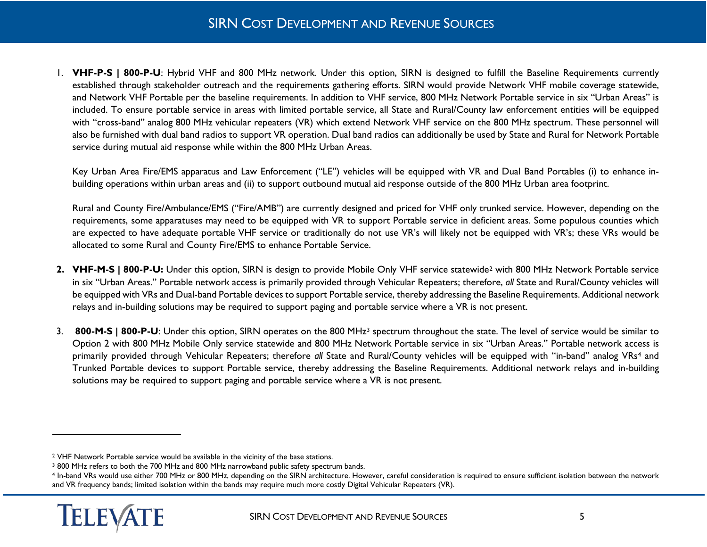<span id="page-4-2"></span><span id="page-4-1"></span><span id="page-4-0"></span>1. **VHF-P-S | 800-P-U**: Hybrid VHF and 800 MHz network. Under this option, SIRN is designed to fulfill the Baseline Requirements currently established through stakeholder outreach and the requirements gathering efforts. SIRN would provide Network VHF mobile coverage statewide, and Network VHF Portable per the baseline requirements. In addition to VHF service, 800 MHz Network Portable service in six "Urban Areas" is included. To ensure portable service in areas with limited portable service, all State and Rural/County law enforcement entities will be equipped with "cross-band" analog 800 MHz vehicular repeaters (VR) which extend Network VHF service on the 800 MHz spectrum. These personnel will also be furnished with dual band radios to support VR operation. Dual band radios can additionally be used by State and Rural for Network Portable service during mutual aid response while within the 800 MHz Urban Areas.

Key Urban Area Fire/EMS apparatus and Law Enforcement ("LE") vehicles will be equipped with VR and Dual Band Portables (i) to enhance inbuilding operations within urban areas and (ii) to support outbound mutual aid response outside of the 800 MHz Urban area footprint.

Rural and County Fire/Ambulance/EMS ("Fire/AMB") are currently designed and priced for VHF only trunked service. However, depending on the requirements, some apparatuses may need to be equipped with VR to support Portable service in deficient areas. Some populous counties which are expected to have adequate portable VHF service or traditionally do not use VR's will likely not be equipped with VR's; these VRs would be allocated to some Rural and County Fire/EMS to enhance Portable Service.

- **2. VHF-M-S | 800-P-U:** Under this option, SIRN is design to provide Mobile Only VHF service statewide[2](#page-4-0) with 800 MHz Network Portable service in six "Urban Areas." Portable network access is primarily provided through Vehicular Repeaters; therefore, *all* State and Rural/County vehicles will be equipped with VRs and Dual-band Portable devices to support Portable service, thereby addressing the Baseline Requirements. Additional network relays and in-building solutions may be required to support paging and portable service where a VR is not present.
- 3. **800-M-S | 800-P-U**: Under this option, SIRN operates on the 800 MHz[3](#page-4-1) spectrum throughout the state. The level of service would be similar to Option 2 with 800 MHz Mobile Only service statewide and 800 MHz Network Portable service in six "Urban Areas." Portable network access is primarily provided through Vehicular Repeaters; therefore *all* State and Rural/County vehicles will be equipped with "in-band" analog VRs[4](#page-4-2) and Trunked Portable devices to support Portable service, thereby addressing the Baseline Requirements. Additional network relays and in-building solutions may be required to support paging and portable service where a VR is not present.

<sup>4</sup> In-band VRs would use either 700 MHz or 800 MHz, depending on the SIRN architecture. However, careful consideration is required to ensure sufficient isolation between the network and VR frequency bands; limited isolation within the bands may require much more costly Digital Vehicular Repeaters (VR).



<sup>2</sup> VHF Network Portable service would be available in the vicinity of the base stations.

<sup>3</sup> 800 MHz refers to both the 700 MHz and 800 MHz narrowband public safety spectrum bands.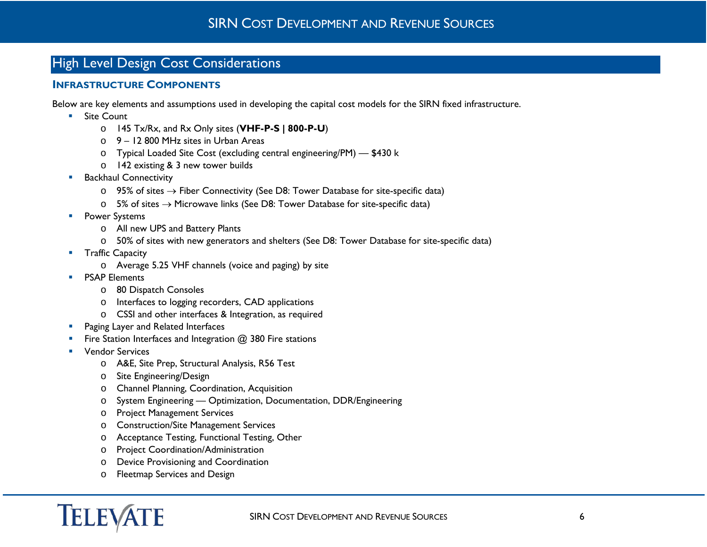# <span id="page-5-0"></span>High Level Design Cost Considerations

## <span id="page-5-1"></span>**INFRASTRUCTURE COMPONENTS**

Below are key elements and assumptions used in developing the capital cost models for the SIRN fixed infrastructure.

- Site Count
	- o 145 Tx/Rx, and Rx Only sites (**VHF-P-S | 800-P-U**)
	- o 9 12 800 MHz sites in Urban Areas
	- o Typical Loaded Site Cost (excluding central engineering/PM) \$430 k
	- o 142 existing & 3 new tower builds
- **Backhaul Connectivity** 
	- $\circ$  95% of sites → Fiber Connectivity (See D8: Tower Database for site-specific data)
	- o 5% of sites  $→$  Microwave links (See D8: Tower Database for site-specific data)
- **Power Systems** 
	- o All new UPS and Battery Plants
	- o 50% of sites with new generators and shelters (See D8: Tower Database for site-specific data)
- **Traffic Capacity** 
	- o Average 5.25 VHF channels (voice and paging) by site
- **PSAP Elements** 
	- o 80 Dispatch Consoles
	- o Interfaces to logging recorders, CAD applications
	- o CSSI and other interfaces & Integration, as required
- **Paging Layer and Related Interfaces**
- Fire Station Interfaces and Integration @ 380 Fire stations
- **Vendor Services** 
	- o A&E, Site Prep, Structural Analysis, R56 Test
	- o Site Engineering/Design
	- o Channel Planning, Coordination, Acquisition
	- o System Engineering Optimization, Documentation, DDR/Engineering
	- o Project Management Services
	- o Construction/Site Management Services
	- o Acceptance Testing, Functional Testing, Other
	- o Project Coordination/Administration
	- o Device Provisioning and Coordination
	- o Fleetmap Services and Design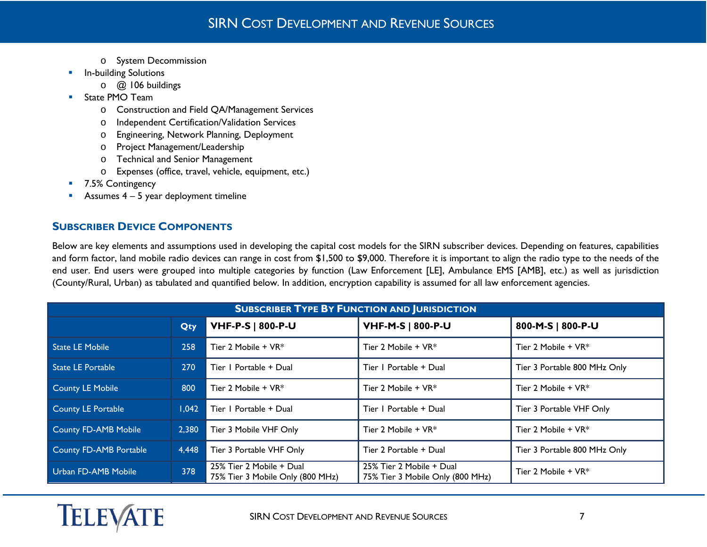- o System Decommission
- **In-building Solutions** 
	- o @ 106 buildings
- **State PMO Team** 
	- o Construction and Field QA/Management Services
	- o Independent Certification/Validation Services
	- o Engineering, Network Planning, Deployment
	- o Project Management/Leadership
	- o Technical and Senior Management
	- o Expenses (office, travel, vehicle, equipment, etc.)
- 7.5% Contingency
- Assumes  $4 5$  year deployment timeline

## <span id="page-6-0"></span>**SUBSCRIBER DEVICE COMPONENTS**

Below are key elements and assumptions used in developing the capital cost models for the SIRN subscriber devices. Depending on features, capabilities and form factor, land mobile radio devices can range in cost from \$1,500 to \$9,000. Therefore it is important to align the radio type to the needs of the end user. End users were grouped into multiple categories by function (Law Enforcement [LE], Ambulance EMS [AMB], etc.) as well as jurisdiction (County/Rural, Urban) as tabulated and quantified below. In addition, encryption capability is assumed for all law enforcement agencies.

| <b>SUBSCRIBER TYPE BY FUNCTION AND JURISDICTION</b> |            |                                                              |                                                              |                              |  |  |  |  |
|-----------------------------------------------------|------------|--------------------------------------------------------------|--------------------------------------------------------------|------------------------------|--|--|--|--|
|                                                     | <b>Qty</b> | $\sqrt{}$ VHF-P-S   800-P-U                                  | <b>VHF-M-S   800-P-U</b>                                     | 800-M-S   800-P-U            |  |  |  |  |
| <b>State LE Mobile</b>                              | 258        | Tier 2 Mobile + $VR^*$                                       | Tier 2 Mobile + $VR^*$                                       | Tier 2 Mobile $+$ VR $*$     |  |  |  |  |
| <b>State LE Portable</b>                            | <b>270</b> | Tier   Portable + Dual                                       | Tier   Portable + Dual                                       | Tier 3 Portable 800 MHz Only |  |  |  |  |
| <b>County LE Mobile</b>                             | 800        | Tier 2 Mobile + $VR^*$                                       | Tier 2 Mobile $+$ VR $*$                                     | Tier 2 Mobile $+$ VR $*$     |  |  |  |  |
| County LE Portable                                  | 1.042      | Tier   Portable + Dual                                       | Tier   Portable + Dual                                       | Tier 3 Portable VHF Only     |  |  |  |  |
| <b>County FD-AMB Mobile</b>                         | 2,380      | Tier 3 Mobile VHF Only                                       | Tier 2 Mobile + $VR^*$                                       | Tier 2 Mobile + VR*          |  |  |  |  |
| <b>County FD-AMB Portable</b>                       | 4,448      | Tier 3 Portable VHF Only                                     | Tier 2 Portable + Dual                                       | Tier 3 Portable 800 MHz Only |  |  |  |  |
| Urban FD-AMB Mobile                                 | 378        | 25% Tier 2 Mobile + Dual<br>75% Tier 3 Mobile Only (800 MHz) | 25% Tier 2 Mobile + Dual<br>75% Tier 3 Mobile Only (800 MHz) | Tier 2 Mobile + VR*          |  |  |  |  |

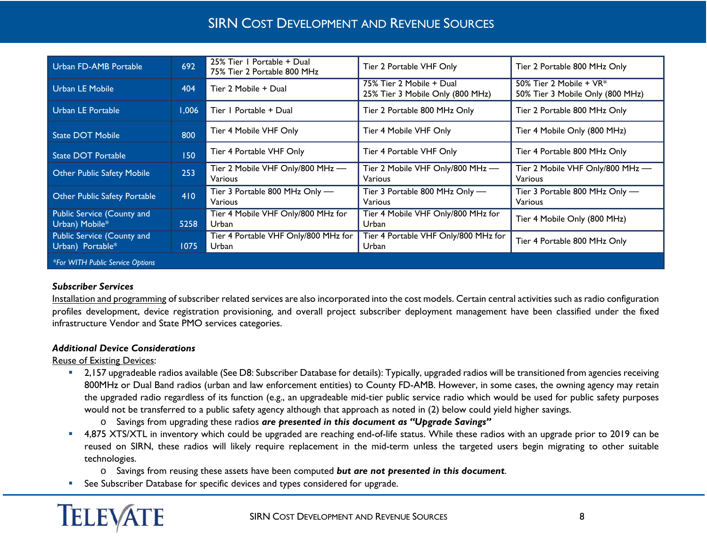| Urban FD-AMB Portable                          | 692   | 25% Tier   Portable + Dual<br>75% Tier 2 Portable 800 MHz | Tier 2 Portable VHF Only                                     | Tier 2 Portable 800 MHz Only                                |
|------------------------------------------------|-------|-----------------------------------------------------------|--------------------------------------------------------------|-------------------------------------------------------------|
| <b>Urban LE Mobile</b>                         | 404   | Tier 2 Mobile + Dual                                      | 75% Tier 2 Mobile + Dual<br>25% Tier 3 Mobile Only (800 MHz) | 50% Tier 2 Mobile + VR*<br>50% Tier 3 Mobile Only (800 MHz) |
| Urban LE Portable                              | 1.006 | Tier   Portable + Dual                                    | Tier 2 Portable 800 MHz Only                                 | Tier 2 Portable 800 MHz Only                                |
| <b>State DOT Mobile</b>                        | 800   | Tier 4 Mobile VHF Only                                    | Tier 4 Mobile VHF Only                                       | Tier 4 Mobile Only (800 MHz)                                |
| <b>State DOT Portable</b>                      | 150   | Tier 4 Portable VHF Only                                  | Tier 4 Portable VHF Only                                     | Tier 4 Portable 800 MHz Only                                |
| <b>Other Public Safety Mobile</b>              | 253   | Tier 2 Mobile VHF Only/800 MHz -<br>Various               | Tier 2 Mobile VHF Only/800 MHz -<br><b>Various</b>           | Tier 2 Mobile VHF Only/800 MHz -<br>Various                 |
| Other Public Safety Portable                   | 410   | Tier 3 Portable 800 MHz Only -<br>Various                 | Tier 3 Portable 800 MHz Only -<br>Various                    | Tier 3 Portable 800 MHz Only -<br>Various                   |
| Public Service (County and<br>Urban) Mobile*   | 5258  | Tier 4 Mobile VHF Only/800 MHz for<br>Urban               | Tier 4 Mobile VHF Only/800 MHz for<br>Urban                  | Tier 4 Mobile Only (800 MHz)                                |
| Public Service (County and<br>Urban) Portable* | 1075  | Tier 4 Portable VHF Only/800 MHz for<br>Urban             | Tier 4 Portable VHF Only/800 MHz for<br>Urban                | Tier 4 Portable 800 MHz Only                                |
| *For WITH Public Service Options               |       |                                                           |                                                              |                                                             |

#### *Subscriber Services*

Installation and programming of subscriber related services are also incorporated into the cost models. Certain central activities such as radio configuration profiles development, device registration provisioning, and overall project subscriber deployment management have been classified under the fixed infrastructure Vendor and State PMO services categories.

#### *Additional Device Considerations*

Reuse of Existing Devices:

- 2,157 upgradeable radios available (See D8: Subscriber Database for details): Typically, upgraded radios will be transitioned from agencies receiving 800MHz or Dual Band radios (urban and law enforcement entities) to County FD-AMB. However, in some cases, the owning agency may retain the upgraded radio regardless of its function (e.g., an upgradeable mid-tier public service radio which would be used for public safety purposes would not be transferred to a public safety agency although that approach as noted in (2) below could yield higher savings.
	- o Savings from upgrading these radios *are presented in this document as "Upgrade Savings"*
- <sup>4</sup>,875 XTS/XTL in inventory which could be upgraded are reaching end-of-life status. While these radios with an upgrade prior to 2019 can be reused on SIRN, these radios will likely require replacement in the mid-term unless the targeted users begin migrating to other suitable technologies.
	- o Savings from reusing these assets have been computed *but are not presented in this document*.
- See Subscriber Database for specific devices and types considered for upgrade.

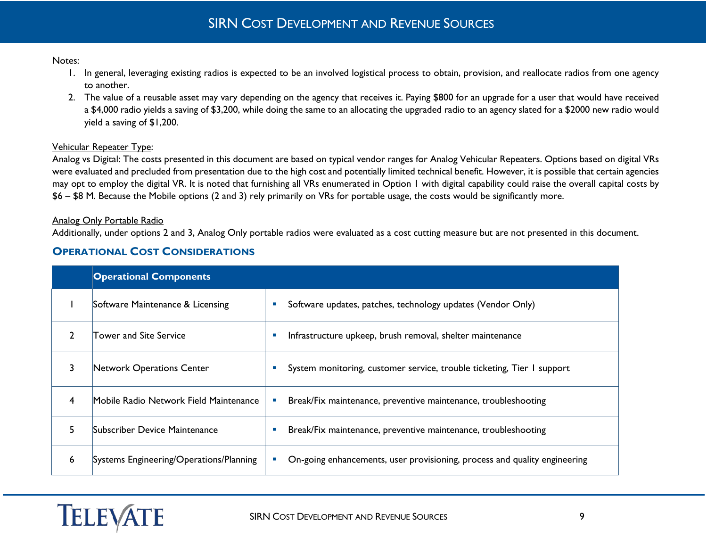#### Notes:

- 1. In general, leveraging existing radios is expected to be an involved logistical process to obtain, provision, and reallocate radios from one agency to another.
- 2. The value of a reusable asset may vary depending on the agency that receives it. Paying \$800 for an upgrade for a user that would have received a \$4,000 radio yields a saving of \$3,200, while doing the same to an allocating the upgraded radio to an agency slated for a \$2000 new radio would yield a saving of \$1,200.

#### Vehicular Repeater Type:

Analog vs Digital: The costs presented in this document are based on typical vendor ranges for Analog Vehicular Repeaters. Options based on digital VRs were evaluated and precluded from presentation due to the high cost and potentially limited technical benefit. However, it is possible that certain agencies may opt to employ the digital VR. It is noted that furnishing all VRs enumerated in Option 1 with digital capability could raise the overall capital costs by \$6 – \$8 M. Because the Mobile options (2 and 3) rely primarily on VRs for portable usage, the costs would be significantly more.

#### Analog Only Portable Radio

Additionally, under options 2 and 3, Analog Only portable radios were evaluated as a cost cutting measure but are not presented in this document.

## <span id="page-8-0"></span>**OPERATIONAL COST CONSIDERATIONS**

|               | <b>Operational Components</b>           |                                                                                                    |
|---------------|-----------------------------------------|----------------------------------------------------------------------------------------------------|
|               | Software Maintenance & Licensing        | Software updates, patches, technology updates (Vendor Only)<br>×,                                  |
| $\mathcal{P}$ | <b>Tower and Site Service</b>           | Infrastructure upkeep, brush removal, shelter maintenance<br>×,                                    |
| 3             | Network Operations Center               | System monitoring, customer service, trouble ticketing, Tier I support<br>$\overline{\phantom{a}}$ |
| 4             | Mobile Radio Network Field Maintenance  | Break/Fix maintenance, preventive maintenance, troubleshooting<br>×,                               |
| 5             | Subscriber Device Maintenance           | Break/Fix maintenance, preventive maintenance, troubleshooting<br>۰                                |
| 6             | Systems Engineering/Operations/Planning | On-going enhancements, user provisioning, process and quality engineering<br>×                     |

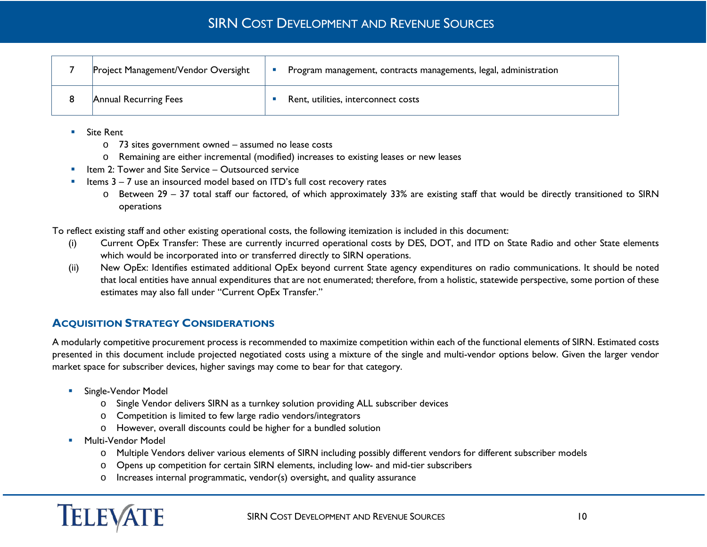| Project Management/Vendor Oversight | Program management, contracts managements, legal, administration |  |
|-------------------------------------|------------------------------------------------------------------|--|
| Annual Recurring Fees               | Rent, utilities, interconnect costs                              |  |

- Site Rent
	- o 73 sites government owned assumed no lease costs
	- o Remaining are either incremental (modified) increases to existing leases or new leases
- Item 2: Tower and Site Service Outsourced service
- Items 3 7 use an insourced model based on ITD's full cost recovery rates
	- o Between 29 37 total staff our factored, of which approximately 33% are existing staff that would be directly transitioned to SIRN operations

To reflect existing staff and other existing operational costs, the following itemization is included in this document:

- (i) Current OpEx Transfer: These are currently incurred operational costs by DES, DOT, and ITD on State Radio and other State elements which would be incorporated into or transferred directly to SIRN operations.
- (ii) New OpEx: Identifies estimated additional OpEx beyond current State agency expenditures on radio communications. It should be noted that local entities have annual expenditures that are not enumerated; therefore, from a holistic, statewide perspective, some portion of these estimates may also fall under "Current OpEx Transfer."

## <span id="page-9-0"></span>**ACQUISITION STRATEGY CONSIDERATIONS**

A modularly competitive procurement process is recommended to maximize competition within each of the functional elements of SIRN. Estimated costs presented in this document include projected negotiated costs using a mixture of the single and multi-vendor options below. Given the larger vendor market space for subscriber devices, higher savings may come to bear for that category.

- **Single-Vendor Model** 
	- o Single Vendor delivers SIRN as a turnkey solution providing ALL subscriber devices
	- o Competition is limited to few large radio vendors/integrators
	- o However, overall discounts could be higher for a bundled solution
- **Multi-Vendor Model** 
	- o Multiple Vendors deliver various elements of SIRN including possibly different vendors for different subscriber models
	- o Opens up competition for certain SIRN elements, including low- and mid-tier subscribers
	- o Increases internal programmatic, vendor(s) oversight, and quality assurance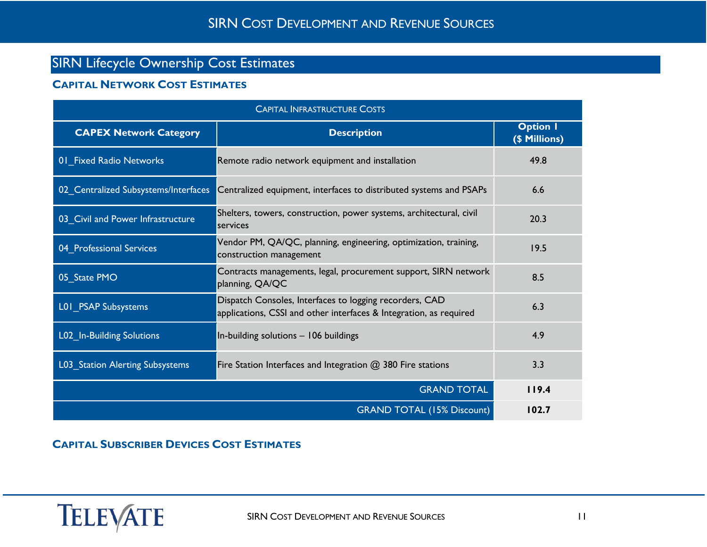# <span id="page-10-0"></span>SIRN Lifecycle Ownership Cost Estimates

## <span id="page-10-1"></span>**CAPITAL NETWORK COST ESTIMATES**

| <b>CAPITAL INFRASTRUCTURE COSTS</b>  |                                                                                                                               |                                  |  |  |  |
|--------------------------------------|-------------------------------------------------------------------------------------------------------------------------------|----------------------------------|--|--|--|
| <b>CAPEX Network Category</b>        | <b>Description</b>                                                                                                            | <b>Option I</b><br>(\$ Millions) |  |  |  |
| 01 Fixed Radio Networks              | Remote radio network equipment and installation                                                                               | 49.8                             |  |  |  |
| 02 Centralized Subsystems/Interfaces | Centralized equipment, interfaces to distributed systems and PSAPs                                                            | 6.6                              |  |  |  |
| 03_Civil and Power Infrastructure    | Shelters, towers, construction, power systems, architectural, civil<br>services                                               | 20.3                             |  |  |  |
| 04_Professional Services             | Vendor PM, QA/QC, planning, engineering, optimization, training,<br>construction management                                   | 19.5                             |  |  |  |
| 05 State PMO                         | Contracts managements, legal, procurement support, SIRN network<br>planning, QA/QC                                            | 8.5                              |  |  |  |
| L01 PSAP Subsystems                  | Dispatch Consoles, Interfaces to logging recorders, CAD<br>applications, CSSI and other interfaces & Integration, as required | 6.3                              |  |  |  |
| L02_In-Building Solutions            | In-building solutions - 106 buildings                                                                                         | 4.9                              |  |  |  |
| L03_Station Alerting Subsystems      | Fire Station Interfaces and Integration $@$ 380 Fire stations                                                                 | 3.3                              |  |  |  |
|                                      | 119.4                                                                                                                         |                                  |  |  |  |
|                                      | <b>GRAND TOTAL (15% Discount)</b>                                                                                             | 102.7                            |  |  |  |

## <span id="page-10-2"></span>**CAPITAL SUBSCRIBER DEVICES COST ESTIMATES**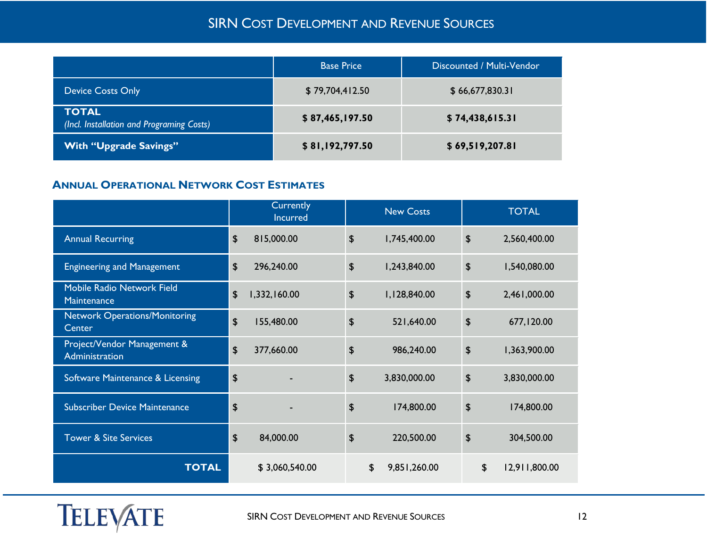|                                                           | <b>Base Price</b> | Discounted / Multi-Vendor |
|-----------------------------------------------------------|-------------------|---------------------------|
| <b>Device Costs Only</b>                                  | \$79,704,412.50   | \$66,677,830.31           |
| <b>TOTAL</b><br>(Incl. Installation and Programing Costs) | \$87,465,197.50   | \$74,438,615.31           |
| <b>With "Upgrade Savings"</b>                             | \$81,192,797.50   | \$69,519,207.81           |

## <span id="page-11-0"></span>**ANNUAL OPERATIONAL NETWORK COST ESTIMATES**

|                                                |                           | Currently<br>Incurred |    | <b>New Costs</b> |                           | <b>TOTAL</b>        |
|------------------------------------------------|---------------------------|-----------------------|----|------------------|---------------------------|---------------------|
| <b>Annual Recurring</b>                        | $\boldsymbol{\mathsf{S}}$ | 815,000.00            | \$ | 1,745,400.00     | $\boldsymbol{\mathsf{S}}$ | 2,560,400.00        |
| <b>Engineering and Management</b>              | $\boldsymbol{\mathsf{S}}$ | 296,240.00            | \$ | 1,243,840.00     | $\boldsymbol{\mathsf{S}}$ | 1,540,080.00        |
| Mobile Radio Network Field<br>Maintenance      | \$                        | 1,332,160.00          | \$ | 1,128,840.00     | $\boldsymbol{\theta}$     | 2,461,000.00        |
| <b>Network Operations/Monitoring</b><br>Center | $\sqrt{2}$                | 155,480.00            | \$ | 521,640.00       | $\boldsymbol{\theta}$     | 677,120.00          |
| Project/Vendor Management &<br>Administration  | \$                        | 377,660.00            | \$ | 986,240.00       | $\boldsymbol{\theta}$     | 1,363,900.00        |
| Software Maintenance & Licensing               | $\boldsymbol{\theta}$     |                       | \$ | 3,830,000.00     | $\boldsymbol{\mathsf{S}}$ | 3,830,000.00        |
| <b>Subscriber Device Maintenance</b>           | $\boldsymbol{\theta}$     |                       | \$ | 174,800.00       | $\boldsymbol{\theta}$     | 174,800.00          |
| <b>Tower &amp; Site Services</b>               | $\boldsymbol{\mathsf{S}}$ | 84,000.00             | \$ | 220,500.00       | $\boldsymbol{\mathsf{S}}$ | 304,500.00          |
| <b>TOTAL</b>                                   |                           | \$3,060,540.00        | \$ | 9,851,260.00     |                           | \$<br>12,911,800.00 |

TELEVATE SIRN COST DEVELOPMENT AND REVENUE SOURCES 12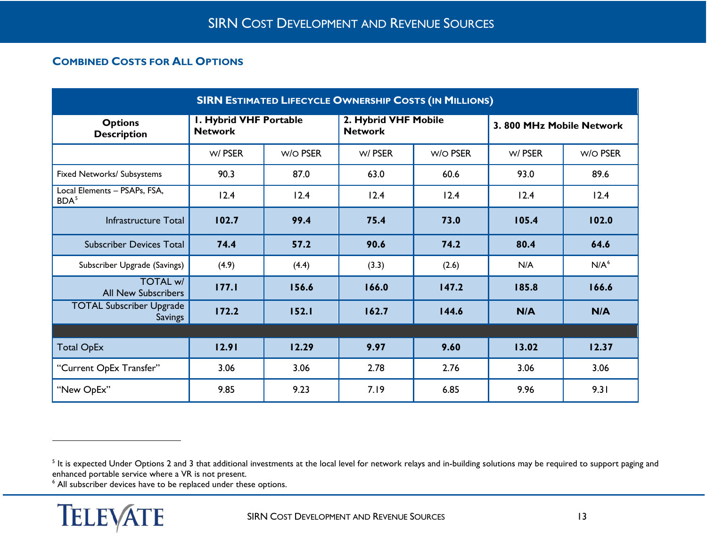# <span id="page-12-2"></span><span id="page-12-1"></span><span id="page-12-0"></span>**COMBINED COSTS FOR ALL OPTIONS**

| <b>SIRN ESTIMATED LIFECYCLE OWNERSHIP COSTS (IN MILLIONS)</b> |                                                 |          |                                        |                 |                          |                  |  |
|---------------------------------------------------------------|-------------------------------------------------|----------|----------------------------------------|-----------------|--------------------------|------------------|--|
| <b>Options</b><br><b>Description</b>                          | <b>I. Hybrid VHF Portable</b><br><b>Network</b> |          | 2. Hybrid VHF Mobile<br><b>Network</b> |                 | 3.800 MHz Mobile Network |                  |  |
|                                                               | w/PSER                                          | W/O PSER | w/PSER                                 | <b>W/O PSER</b> | w/PSER                   | W/O PSER         |  |
| Fixed Networks/ Subsystems                                    | 90.3                                            | 87.0     | 63.0                                   | 60.6            | 93.0                     | 89.6             |  |
| Local Elements - PSAPs, FSA,<br>BDA <sup>5</sup>              | 12.4                                            | 12.4     | 12.4                                   | 12.4            | 12.4                     | 12.4             |  |
| Infrastructure Total                                          | 102.7                                           | 99.4     | 75.4                                   | 73.0            | 105.4                    | 102.0            |  |
| <b>Subscriber Devices Total</b>                               | 74.4                                            | 57.2     | 90.6                                   | 74.2            | 80.4                     | 64.6             |  |
| Subscriber Upgrade (Savings)                                  | (4.9)                                           | (4.4)    | (3.3)                                  | (2.6)           | N/A                      | N/A <sup>6</sup> |  |
| <b>TOTAL w/</b><br><b>All New Subscribers</b>                 | 177.1                                           | 156.6    | 166.0                                  | 147.2           | 185.8                    | 166.6            |  |
| <b>TOTAL Subscriber Upgrade</b><br><b>Savings</b>             | 172.2                                           | 152.1    | 162.7                                  | 144.6           | N/A                      | N/A              |  |
|                                                               |                                                 |          |                                        |                 |                          |                  |  |
| <b>Total OpEx</b>                                             | 12.91                                           | 12.29    | 9.97                                   | 9.60            | 13.02                    | 12.37            |  |
| "Current OpEx Transfer"                                       | 3.06                                            | 3.06     | 2.78                                   | 2.76            | 3.06                     | 3.06             |  |
| "New OpEx"                                                    | 9.85                                            | 9.23     | 7.19                                   | 6.85            | 9.96                     | 9.31             |  |

<sup>6</sup> All subscriber devices have to be replaced under these options.



 $\ddot{\phantom{a}}$ 

<sup>&</sup>lt;sup>5</sup> It is expected Under Options 2 and 3 that additional investments at the local level for network relays and in-building solutions may be required to support paging and enhanced portable service where a VR is not present.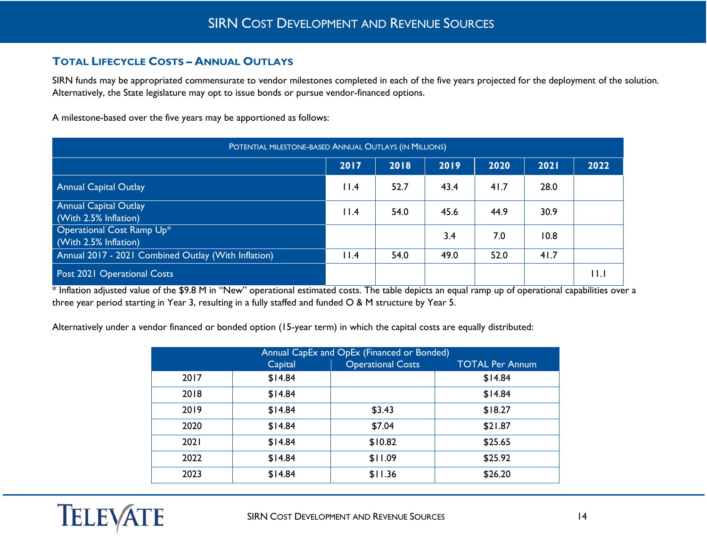## <span id="page-13-0"></span>**TOTAL LIFECYCLE COSTS – ANNUAL OUTLAYS**

SIRN funds may be appropriated commensurate to vendor milestones completed in each of the five years projected for the deployment of the solution. Alternatively, the State legislature may opt to issue bonds or pursue vendor-financed options.

A milestone-based over the five years may be apportioned as follows:

| POTENTIAL MILESTONE-BASED ANNUAL OUTLAYS (IN MILLIONS)    |      |      |      |      |      |             |  |  |
|-----------------------------------------------------------|------|------|------|------|------|-------------|--|--|
| 2018<br>2017<br>2019<br>2020<br>2022<br>2021              |      |      |      |      |      |             |  |  |
| <b>Annual Capital Outlay</b>                              | 11.4 | 52.7 | 43.4 | 41.7 | 28.0 |             |  |  |
| <b>Annual Capital Outlay</b><br>(With 2.5% Inflation)     | 11.4 | 54.0 | 45.6 | 44.9 | 30.9 |             |  |  |
| <b>Operational Cost Ramp Up*</b><br>(With 2.5% Inflation) |      |      | 3.4  | 7.0  | 10.8 |             |  |  |
| Annual 2017 - 2021 Combined Outlay (With Inflation)       | 11.4 | 54.0 | 49.0 | 52.0 | 41.7 |             |  |  |
| Post 2021 Operational Costs                               |      |      |      |      |      | $  \cdot  $ |  |  |

\* Inflation adjusted value of the \$9.8 M in "New" operational estimated costs. The table depicts an equal ramp up of operational capabilities over a three year period starting in Year 3, resulting in a fully staffed and funded O & M structure by Year 5.

Alternatively under a vendor financed or bonded option (15-year term) in which the capital costs are equally distributed:

| Annual CapEx and OpEx (Financed or Bonded) |         |                          |                        |  |  |  |  |
|--------------------------------------------|---------|--------------------------|------------------------|--|--|--|--|
|                                            | Capital | <b>Operational Costs</b> | <b>TOTAL Per Annum</b> |  |  |  |  |
| 2017                                       | \$14.84 |                          | \$14.84                |  |  |  |  |
| 2018                                       | \$14.84 |                          | \$14.84                |  |  |  |  |
| 2019                                       | \$14.84 | \$3.43                   | \$18.27                |  |  |  |  |
| 2020                                       | \$14.84 | \$7.04                   | \$21.87                |  |  |  |  |
| 2021                                       | \$14.84 | \$10.82                  | \$25.65                |  |  |  |  |
| 2022                                       | \$14.84 | \$11.09                  | \$25.92                |  |  |  |  |
| 2023                                       | \$14.84 | \$11.36                  | \$26.20                |  |  |  |  |

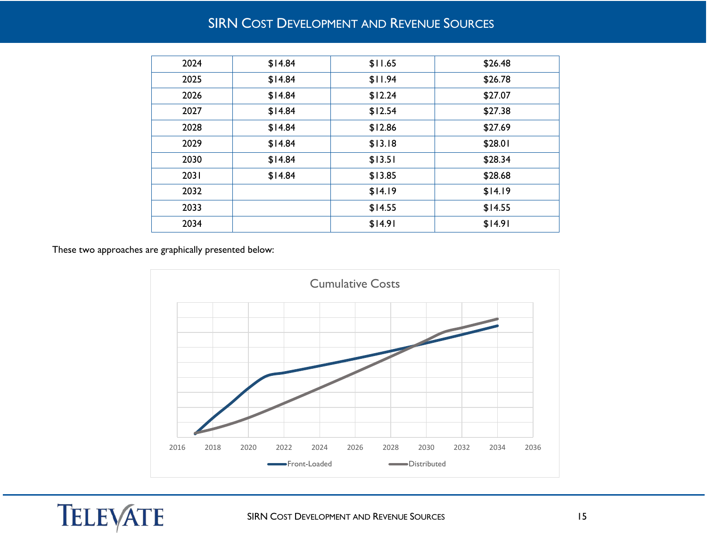| 2024 | \$14.84 | \$11.65 | \$26.48 |
|------|---------|---------|---------|
| 2025 | \$14.84 | \$11.94 | \$26.78 |
| 2026 | \$14.84 | \$12.24 | \$27.07 |
| 2027 | \$14.84 | \$12.54 | \$27.38 |
| 2028 | \$14.84 | \$12.86 | \$27.69 |
| 2029 | \$14.84 | \$13.18 | \$28.01 |
| 2030 | \$14.84 | \$13.51 | \$28.34 |
| 2031 | \$14.84 | \$13.85 | \$28.68 |
| 2032 |         | \$14.19 | \$14.19 |
| 2033 |         | \$14.55 | \$14.55 |
| 2034 |         | \$14.91 | \$14.91 |
|      |         |         |         |

<span id="page-14-0"></span>These two approaches are graphically presented below:

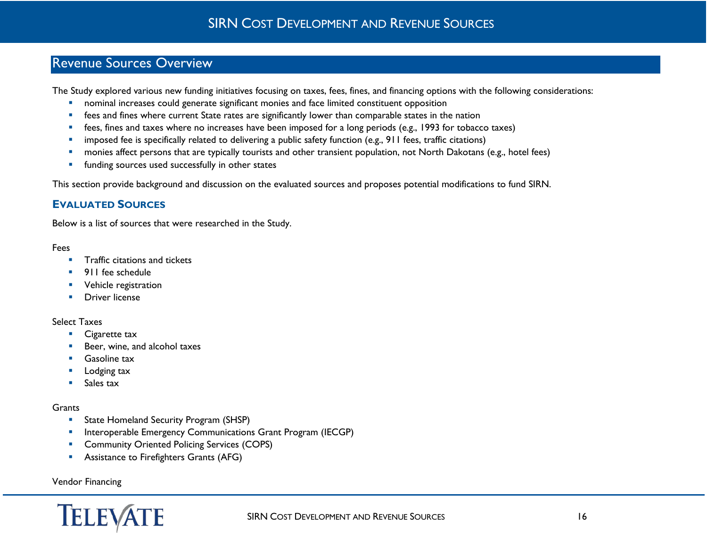# Revenue Sources Overview

The Study explored various new funding initiatives focusing on taxes, fees, fines, and financing options with the following considerations:

- **•** nominal increases could generate significant monies and face limited constituent opposition
- **F** fees and fines where current State rates are significantly lower than comparable states in the nation
- **faces, fines and taxes where no increases have been imposed for a long periods (e.g., 1993 for tobacco taxes)**
- **·** imposed fee is specifically related to delivering a public safety function (e.g., 911 fees, traffic citations)
- **•** monies affect persons that are typically tourists and other transient population, not North Dakotans (e.g., hotel fees)
- **funding sources used successfully in other states**

This section provide background and discussion on the evaluated sources and proposes potential modifications to fund SIRN.

## <span id="page-15-0"></span>**EVALUATED SOURCES**

Below is a list of sources that were researched in the Study.

#### Fees

- **Traffic citations and tickets**
- **911** fee schedule
- **•** Vehicle registration
- **Driver license**

#### Select Taxes

- **Cigarette tax**
- Beer, wine, and alcohol taxes
- **Gasoline tax**
- Lodging tax
- **Sales tax**

#### **Grants**

- **State Homeland Security Program (SHSP)**
- **Interoperable Emergency Communications Grant Program (IECGP)**
- **Community Oriented Policing Services (COPS)**
- **Assistance to Firefighters Grants (AFG)**

#### Vendor Financing

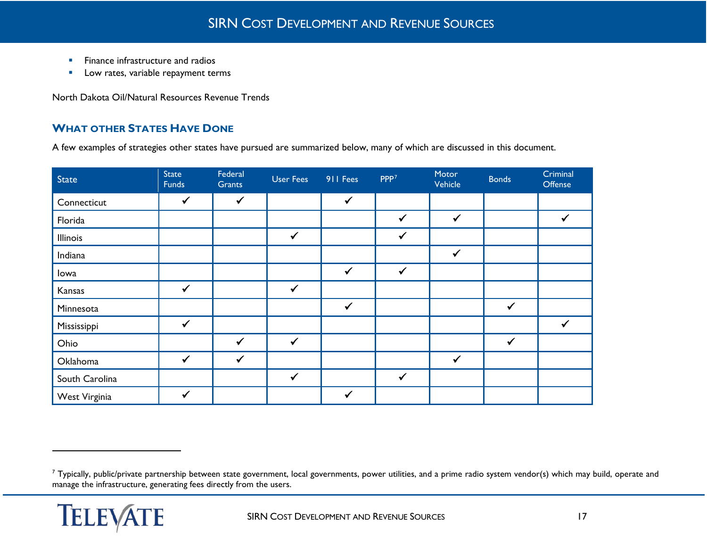- <span id="page-16-1"></span>**Finance infrastructure and radios**
- **Low rates, variable repayment terms**

North Dakota Oil/Natural Resources Revenue Trends

## <span id="page-16-0"></span>**WHAT OTHER STATES HAVE DONE**

A few examples of strategies other states have pursued are summarized below, many of which are discussed in this document.

| <b>State</b>    | State<br>Funds | Federal<br>Grants | <b>User Fees</b> | 911 Fees     | PPP <sup>7</sup> | Motor<br>Vehicle | <b>Bonds</b> | Criminal<br>Offense |
|-----------------|----------------|-------------------|------------------|--------------|------------------|------------------|--------------|---------------------|
| Connecticut     | $\checkmark$   | $\checkmark$      |                  | $\checkmark$ |                  |                  |              |                     |
| Florida         |                |                   |                  |              | $\checkmark$     | $\checkmark$     |              | $\checkmark$        |
| <b>Illinois</b> |                |                   | $\checkmark$     |              | $\checkmark$     |                  |              |                     |
| Indiana         |                |                   |                  |              |                  | $\checkmark$     |              |                     |
| lowa            |                |                   |                  | $\checkmark$ | $\checkmark$     |                  |              |                     |
| Kansas          | $\checkmark$   |                   | $\checkmark$     |              |                  |                  |              |                     |
| Minnesota       |                |                   |                  | $\checkmark$ |                  |                  | $\checkmark$ |                     |
| Mississippi     | $\checkmark$   |                   |                  |              |                  |                  |              | $\checkmark$        |
| Ohio            |                | $\checkmark$      | $\checkmark$     |              |                  |                  | ✔            |                     |
| Oklahoma        | $\checkmark$   | $\checkmark$      |                  |              |                  | $\checkmark$     |              |                     |
| South Carolina  |                |                   | $\checkmark$     |              | $\checkmark$     |                  |              |                     |
| West Virginia   | $\checkmark$   |                   |                  | $\checkmark$ |                  |                  |              |                     |

<sup>&</sup>lt;sup>7</sup> Typically, public/private partnership between state government, local governments, power utilities, and a prime radio system vendor(s) which may build, operate and manage the infrastructure, generating fees directly from the users.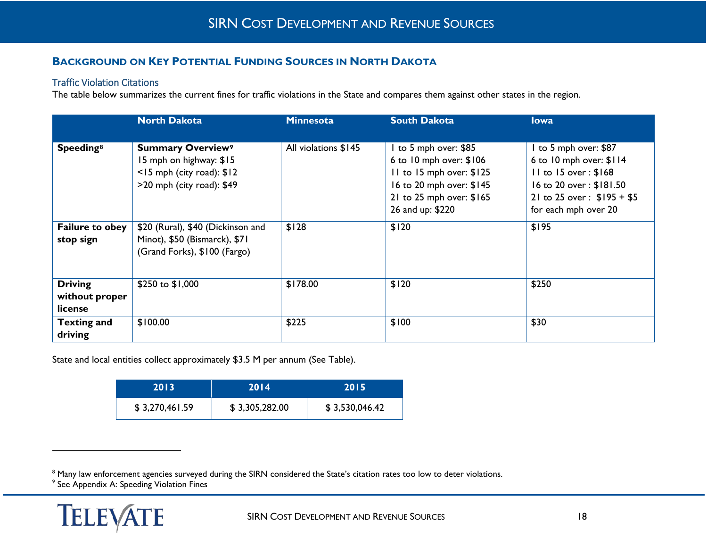## <span id="page-17-3"></span><span id="page-17-2"></span><span id="page-17-0"></span>**BACKGROUND ON KEY POTENTIAL FUNDING SOURCES IN NORTH DAKOTA**

#### <span id="page-17-1"></span>Traffic Violation Citations

The table below summarizes the current fines for traffic violations in the State and compares them against other states in the region.

|                                             | <b>North Dakota</b>                                                                                                          | <b>Minnesota</b>     | <b>South Dakota</b>                                                                                                                                    | <b>lowa</b>                                                                                                                                                    |
|---------------------------------------------|------------------------------------------------------------------------------------------------------------------------------|----------------------|--------------------------------------------------------------------------------------------------------------------------------------------------------|----------------------------------------------------------------------------------------------------------------------------------------------------------------|
|                                             |                                                                                                                              |                      |                                                                                                                                                        |                                                                                                                                                                |
| Speeding <sup>8</sup>                       | <b>Summary Overview<sup>9</sup></b><br>15 mph on highway: \$15<br>$<$ 15 mph (city road): $$12$<br>>20 mph (city road): \$49 | All violations \$145 | to 5 mph over: \$85<br>6 to 10 mph over: \$106<br>II to 15 mph over: \$125<br>16 to 20 mph over: \$145<br>21 to 25 mph over: \$165<br>26 and up: \$220 | I to 5 mph over: \$87<br>6 to 10 mph over: \$114<br>$II$ to $I5$ over: $$I68$<br>16 to 20 over: \$181.50<br>21 to 25 over: \$195 + \$5<br>for each mph over 20 |
| <b>Failure to obey</b><br>stop sign         | \$20 (Rural), \$40 (Dickinson and<br>Minot), \$50 (Bismarck), \$71<br>(Grand Forks), \$100 (Fargo)                           | \$128                | \$120                                                                                                                                                  | \$195                                                                                                                                                          |
| <b>Driving</b><br>without proper<br>license | \$250 to \$1,000                                                                                                             | \$178.00             | \$120                                                                                                                                                  | \$250                                                                                                                                                          |
| <b>Texting and</b><br>driving               | \$100.00                                                                                                                     | \$225                | \$100                                                                                                                                                  | \$30                                                                                                                                                           |

State and local entities collect approximately \$3.5 M per annum (See Table).

| 2013'          | 2014           | 2015           |  |  |
|----------------|----------------|----------------|--|--|
| \$3,270,461.59 | \$3,305,282.00 | \$3,530,046.42 |  |  |

<sup>9</sup> See Appendix A: Speeding Violation Fines

<sup>&</sup>lt;sup>8</sup> Many law enforcement agencies surveyed during the SIRN considered the State's citation rates too low to deter violations.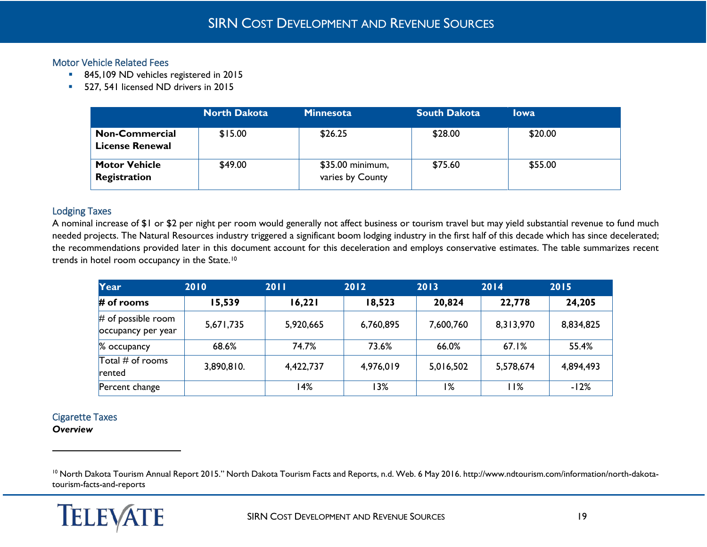#### <span id="page-18-0"></span>Motor Vehicle Related Fees

- <span id="page-18-3"></span>845,109 ND vehicles registered in 2015
- **527, 541 licensed ND drivers in 2015**

|                                                 | <b>North Dakota</b> | <b>Minnesota</b>                     | <b>South Dakota</b> | <b>lowa</b> |
|-------------------------------------------------|---------------------|--------------------------------------|---------------------|-------------|
| <b>Non-Commercial</b><br><b>License Renewal</b> | \$15.00             | \$26.25                              | \$28.00             | \$20.00     |
| <b>Motor Vehicle</b><br>Registration            | \$49.00             | \$35.00 minimum,<br>varies by County | \$75.60             | \$55.00     |

## <span id="page-18-1"></span>Lodging Taxes

A nominal increase of \$1 or \$2 per night per room would generally not affect business or tourism travel but may yield substantial revenue to fund much needed projects. The Natural Resources industry triggered a significant boom lodging industry in the first half of this decade which has since decelerated; the recommendations provided later in this document account for this deceleration and employs conservative estimates. The table summarizes recent trends in hotel room occupancy in the State[.10](#page-18-3)

| Year                                       | 2010       | 2011      | 2012      | 2013      | 2014      | 2015      |
|--------------------------------------------|------------|-----------|-----------|-----------|-----------|-----------|
| $#$ of rooms                               | 15,539     | 16,221    | 18,523    | 20,824    | 22,778    | 24,205    |
| $#$ of possible room<br>occupancy per year | 5,671,735  | 5,920,665 | 6,760,895 | 7,600,760 | 8,313,970 | 8,834,825 |
| % occupancy                                | 68.6%      | 74.7%     | 73.6%     | 66.0%     | 67.1%     | 55.4%     |
| Total $#$ of rooms<br>rented               | 3,890,810. | 4,422,737 | 4,976,019 | 5,016,502 | 5,578,674 | 4,894,493 |
| Percent change                             |            | 14%       | 13%       | 1%        | 11%       | $-12%$    |

## <span id="page-18-2"></span>Cigarette Taxes

*Overview*

<sup>&</sup>lt;sup>10</sup> North Dakota Tourism Annual Report 2015." North Dakota Tourism Facts and Reports, n.d. Web. 6 May 2016. http://www.ndtourism.com/information/north-dakotatourism-facts-and-reports

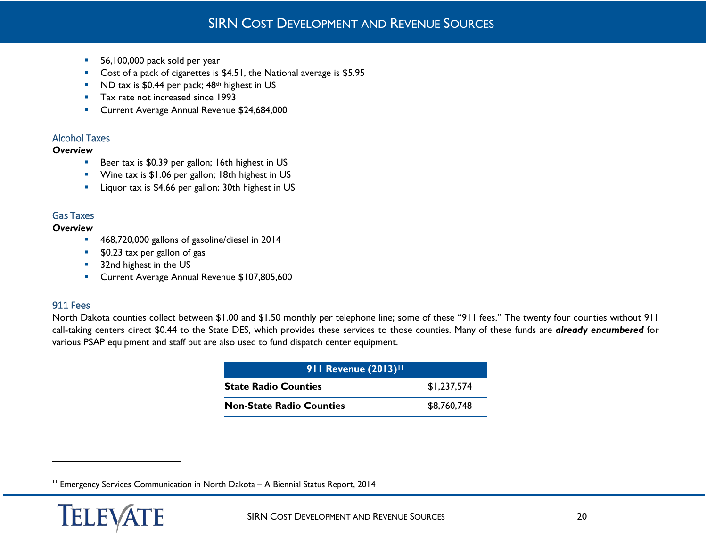- <span id="page-19-3"></span>56,100,000 pack sold per year
- Cost of a pack of cigarettes is \$4.51, the National average is \$5.95
- ND tax is \$0.44 per pack; 48<sup>th</sup> highest in US
- Tax rate not increased since 1993
- **Current Average Annual Revenue \$24,684,000**

## <span id="page-19-0"></span>Alcohol Taxes

#### *Overview*

- Beer tax is \$0.39 per gallon; 16th highest in US
- **Wine tax is \$1.06 per gallon; 18th highest in US**
- **EXECUTE:** Liquor tax is \$4.66 per gallon; 30th highest in US

## <span id="page-19-1"></span>Gas Taxes

## *Overview*

- 468,720,000 gallons of gasoline/diesel in 2014
- **50.23 tax per gallon of gas**
- **32nd highest in the US**
- **Current Average Annual Revenue \$107,805,600**

## <span id="page-19-2"></span>911 Fees

 $\overline{a}$ 

North Dakota counties collect between \$1.00 and \$1.50 monthly per telephone line; some of these "911 fees." The twenty four counties without 911 call-taking centers direct \$0.44 to the State DES, which provides these services to those counties. Many of these funds are *already encumbered* for various PSAP equipment and staff but are also used to fund dispatch center equipment.

| 911 Revenue (2013) <sup>11</sup> |             |  |  |  |  |  |
|----------------------------------|-------------|--|--|--|--|--|
| <b>State Radio Counties</b>      | \$1,237,574 |  |  |  |  |  |
| <b>Non-State Radio Counties</b>  | \$8,760,748 |  |  |  |  |  |

<sup>&</sup>lt;sup>11</sup> Emergency Services Communication in North Dakota - A Biennial Status Report, 2014

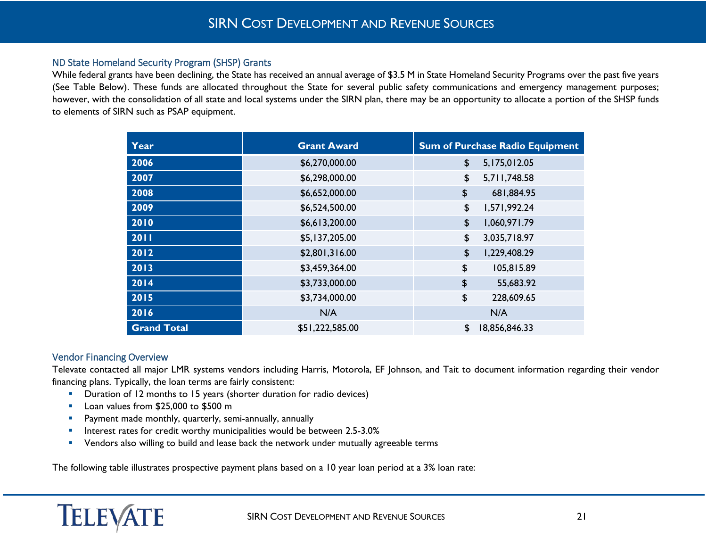#### <span id="page-20-0"></span>ND State Homeland Security Program (SHSP) Grants

While federal grants have been declining, the State has received an annual average of \$3.5 M in State Homeland Security Programs over the past five years (See Table Below). These funds are allocated throughout the State for several public safety communications and emergency management purposes; however, with the consolidation of all state and local systems under the SIRN plan, there may be an opportunity to allocate a portion of the SHSP funds to elements of SIRN such as PSAP equipment.

| Year               | <b>Grant Award</b> | <b>Sum of Purchase Radio Equipment</b> |
|--------------------|--------------------|----------------------------------------|
| 2006               | \$6,270,000.00     | \$<br>5,175,012.05                     |
| 2007               | \$6,298,000.00     | \$<br>5,711,748.58                     |
| 2008               | \$6,652,000.00     | \$<br>681,884.95                       |
| 2009               | \$6,524,500.00     | \$<br>1,571,992.24                     |
| 2010               | \$6,613,200.00     | \$<br>1,060,971.79                     |
| 2011               | \$5,137,205.00     | \$<br>3,035,718.97                     |
| 2012               | \$2,801,316.00     | \$<br>1,229,408.29                     |
| 2013               | \$3,459,364.00     | \$<br>105,815.89                       |
| 2014               | \$3,733,000.00     | \$<br>55,683.92                        |
| 2015               | \$3,734,000.00     | \$<br>228,609.65                       |
| 2016               | N/A                | N/A                                    |
| <b>Grand Total</b> | \$51,222,585.00    | \$<br>18,856,846.33                    |

#### <span id="page-20-1"></span>Vendor Financing Overview

Televate contacted all major LMR systems vendors including Harris, Motorola, EF Johnson, and Tait to document information regarding their vendor financing plans. Typically, the loan terms are fairly consistent:

- **Duration of 12 months to 15 years (shorter duration for radio devices)**
- Loan values from \$25,000 to \$500 m
- **Payment made monthly, quarterly, semi-annually, annually**
- **Interest rates for credit worthy municipalities would be between 2.5-3.0%**
- **•** Vendors also willing to build and lease back the network under mutually agreeable terms

The following table illustrates prospective payment plans based on a 10 year loan period at a 3% loan rate: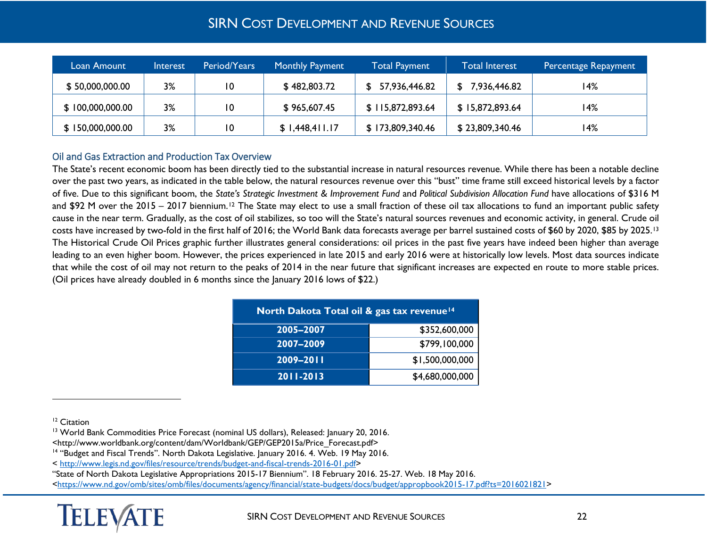<span id="page-21-3"></span><span id="page-21-2"></span><span id="page-21-1"></span>

| 'Loan Amount <sub>'</sub> | Interest | Period/Years | <b>Monthly Payment</b> | Total Payment    | <b>Total Interest</b> | Percentage Repayment |
|---------------------------|----------|--------------|------------------------|------------------|-----------------------|----------------------|
| \$50,000,000.00           | 3%       | 10           | \$482,803.72           | 57,936,446.82    | 7,936,446.82          | l 4%                 |
| \$100,000,000.00          | 3%       | 10           | \$965,607.45           | \$115,872,893.64 | \$15,872,893.64       | 14%                  |
| \$150,000,000.00          | 3%       | 10           | \$1,448,411.17         | \$173,809,340.46 | \$23,809,340.46       | 14%                  |

## <span id="page-21-0"></span>Oil and Gas Extraction and Production Tax Overview

The State's recent economic boom has been directly tied to the substantial increase in natural resources revenue. While there has been a notable decline over the past two years, as indicated in the table below, the natural resources revenue over this "bust" time frame still exceed historical levels by a factor of five. Due to this significant boom, the *State's Strategic Investment & Improvement Fund* and *Political Subdivision Allocation Fund* have allocations of \$316 M and \$92 M over the 2015 – 2017 biennium.<sup>[12](#page-21-1)</sup> The State may elect to use a small fraction of these oil tax allocations to fund an important public safety cause in the near term. Gradually, as the cost of oil stabilizes, so too will the State's natural sources revenues and economic activity, in general. Crude oil costs have increased by two-fold in the first half of 2016; the World Bank data forecasts average per barrel sustained costs of \$60 by 2020, \$85 by 2025.[13](#page-21-2) The Historical Crude Oil Prices graphic further illustrates general considerations: oil prices in the past five years have indeed been higher than average leading to an even higher boom. However, the prices experienced in late 2015 and early 2016 were at historically low levels. Most data sources indicate that while the cost of oil may not return to the peaks of 2014 in the near future that significant increases are expected en route to more stable prices. (Oil prices have already doubled in 6 months since the January 2016 lows of \$22.)

| North Dakota Total oil & gas tax revenue <sup>14</sup> |                 |  |  |  |  |  |
|--------------------------------------------------------|-----------------|--|--|--|--|--|
| 2005-2007                                              | \$352,600,000   |  |  |  |  |  |
| 2007-2009                                              | \$799,100,000   |  |  |  |  |  |
| 2009-2011                                              | \$1,500,000,000 |  |  |  |  |  |
| 2011-2013                                              | \$4,680,000,000 |  |  |  |  |  |

<sup>12</sup> Citation

 $\overline{a}$ 

< [http://www.legis.nd.gov/files/resource/trends/budget-and-fiscal-trends-2016-01.pdf>](http://www.legis.nd.gov/files/resource/trends/budget-and-fiscal-trends-2016-01.pdf)

"State of North Dakota Legislative Appropriations 2015-17 Biennium". 18 February 2016. 25-27. Web. 18 May 2016.

[<https://www.nd.gov/omb/sites/omb/files/documents/agency/financial/state-budgets/docs/budget/appropbook2015-17.pdf?ts=2016021821>](https://www.nd.gov/omb/sites/omb/files/documents/agency/financial/state-budgets/docs/budget/appropbook2015-17.pdf?ts=2016021821)



<sup>&</sup>lt;sup>13</sup> World Bank Commodities Price Forecast (nominal US dollars), Released: January 20, 2016.

<sup>&</sup>lt;http://www.worldbank.org/content/dam/Worldbank/GEP/GEP2015a/Price\_Forecast.pdf>

<sup>&</sup>lt;sup>14</sup> "Budget and Fiscal Trends". North Dakota Legislative. January 2016. 4. Web. 19 May 2016.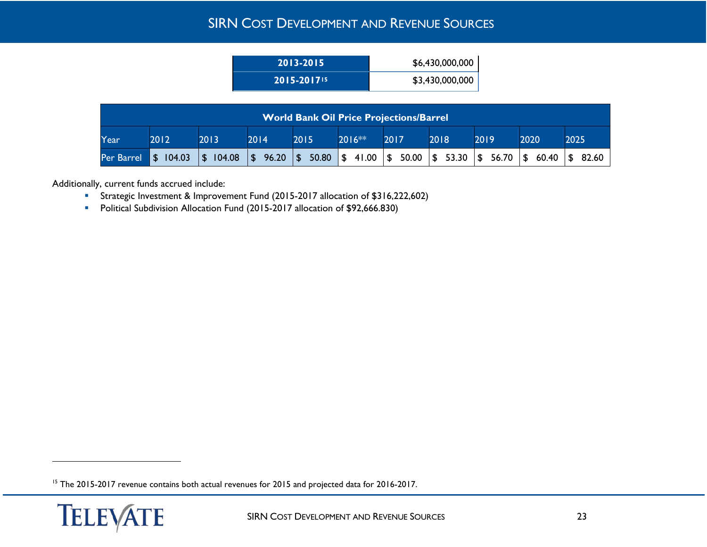<span id="page-22-0"></span>

| 2013-2015                   | \$6,430,000,000 |
|-----------------------------|-----------------|
| $2015 - 2017$ <sup>15</sup> | \$3,430,000,000 |

| <b>World Bank Oil Price Projections/Barrel</b> |                   |           |                                                                                                                                                                 |      |         |      |      |      |      |      |
|------------------------------------------------|-------------------|-----------|-----------------------------------------------------------------------------------------------------------------------------------------------------------------|------|---------|------|------|------|------|------|
| Year                                           | 2012              | 2013      | 2014                                                                                                                                                            | 2015 | 2016 ** | 2017 | 2018 | 2019 | 2020 | 2025 |
| Per Barrel                                     | $\sqrt{$}$ 104.03 | \$ 104.08 | $\frac{1}{3}$ 96.20 $\frac{1}{3}$ 50.80 $\frac{1}{3}$ 41.00 $\frac{1}{3}$ 50.00 $\frac{1}{3}$ 53.30 $\frac{1}{3}$ 56.70 $\frac{1}{3}$ 60.40 $\frac{1}{3}$ 82.60 |      |         |      |      |      |      |      |

Additionally, current funds accrued include:

- Strategic Investment & Improvement Fund (2015-2017 allocation of \$316,222,602)
- **Political Subdivision Allocation Fund (2015-2017 allocation of \$92,666.830)**

<sup>&</sup>lt;sup>15</sup> The 2015-2017 revenue contains both actual revenues for 2015 and projected data for 2016-2017.

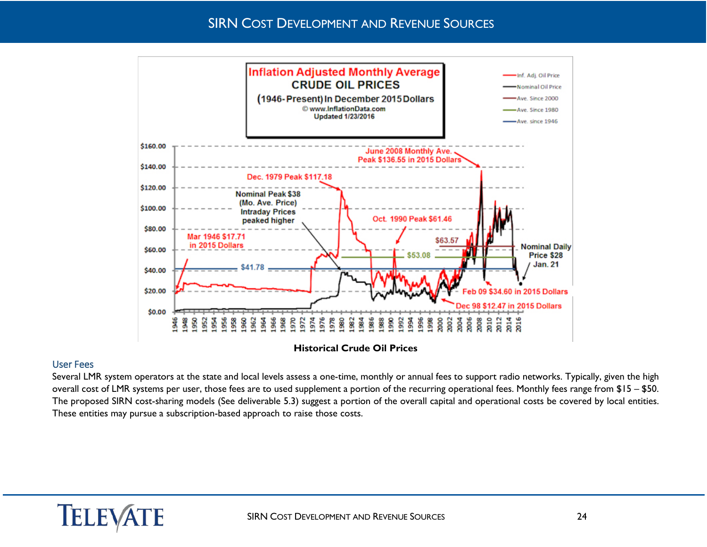

#### <span id="page-23-0"></span>User Fees

Several LMR system operators at the state and local levels assess a one-time, monthly or annual fees to support radio networks. Typically, given the high overall cost of LMR systems per user, those fees are to used supplement a portion of the recurring operational fees. Monthly fees range from \$15 – \$50. The proposed SIRN cost-sharing models (See deliverable 5.3) suggest a portion of the overall capital and operational costs be covered by local entities. These entities may pursue a subscription-based approach to raise those costs.

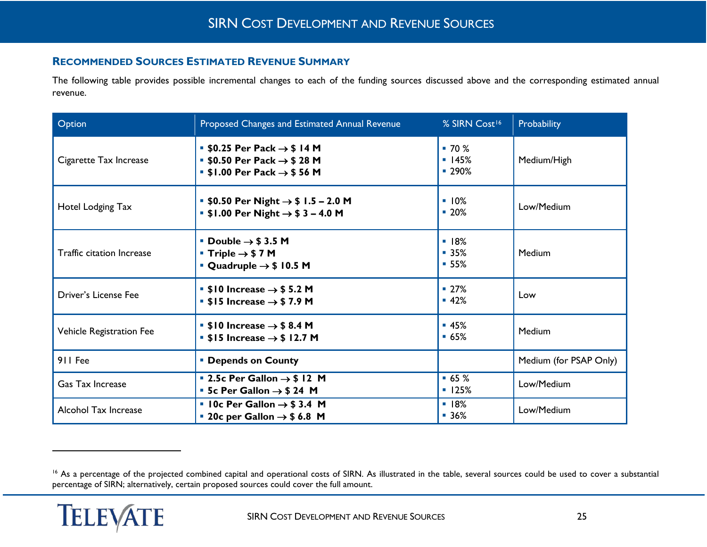## <span id="page-24-1"></span><span id="page-24-0"></span>**RECOMMENDED SOURCES ESTIMATED REVENUE SUMMARY**

The following table provides possible incremental changes to each of the funding sources discussed above and the corresponding estimated annual revenue.

| Option                           | Proposed Changes and Estimated Annual Revenue                                                                                                                    | % SIRN Cost <sup>16</sup> | Probability            |
|----------------------------------|------------------------------------------------------------------------------------------------------------------------------------------------------------------|---------------------------|------------------------|
| Cigarette Tax Increase           | <b>50.25 Per Pack <math>\rightarrow</math> \$14 M</b><br><b>50.50 Per Pack <math>\rightarrow</math> \$28 M</b><br>$\bullet$ \$1.00 Per Pack $\rightarrow$ \$56 M | $-70%$<br>145%<br>■ 290%  | Medium/High            |
| Hotel Lodging Tax                | ■ \$0.50 Per Night $\rightarrow$ \$ 1.5 – 2.0 M<br><b>5 \$1.00 Per Night <math>\rightarrow</math> \$3 - 4.0 M</b>                                                | 10%<br>$-20%$             | Low/Medium             |
| <b>Traffic citation Increase</b> | <b>Double <math>\rightarrow</math> \$3.5 M</b><br>■ Triple $\rightarrow$ \$7 M<br>$\bullet$ Quadruple $\rightarrow$ \$ 10.5 M                                    | 18%<br>$-35%$<br>$-55%$   | Medium                 |
| Driver's License Fee             | $\bullet$ \$10 Increase $\rightarrow$ \$5.2 M<br><b>SI5</b> Increase $\rightarrow$ \$7.9 M                                                                       | $-27%$<br>■ 42%           | Low                    |
| Vehicle Registration Fee         | $\bullet$ \$10 Increase $\rightarrow$ \$8.4 M<br>$\bullet$ \$15 Increase $\rightarrow$ \$12.7 M                                                                  | $-45%$<br>$-65%$          | Medium                 |
| 911 Fee                          | <b>• Depends on County</b>                                                                                                                                       |                           | Medium (for PSAP Only) |
| <b>Gas Tax Increase</b>          | <b>2.5c Per Gallon <math>\rightarrow</math> \$12 M</b><br><b>5 5c Per Gallon <math>\rightarrow</math> \$24 M</b>                                                 | $-65%$<br>125%            | Low/Medium             |
| Alcohol Tax Increase             | $\blacksquare$ 10c Per Gallon $\rightarrow$ \$3.4 M<br><b>20c per Gallon <math>\rightarrow</math> \$6.8 M</b>                                                    | 18%<br>$-36%$             | Low/Medium             |

<sup>&</sup>lt;sup>16</sup> As a percentage of the projected combined capital and operational costs of SIRN. As illustrated in the table, several sources could be used to cover a substantial percentage of SIRN; alternatively, certain proposed sources could cover the full amount.